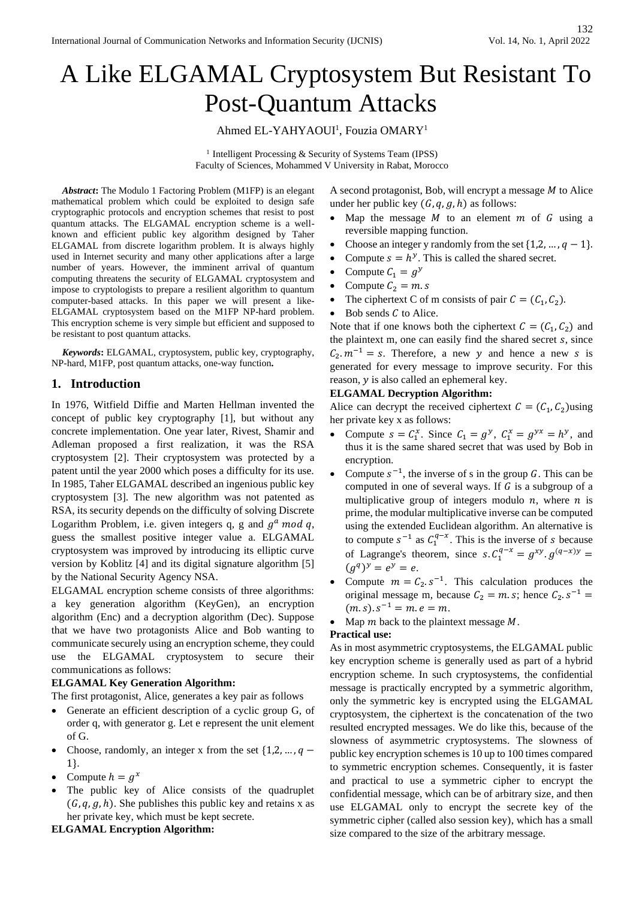# A Like ELGAMAL Cryptosystem But Resistant To Post-Quantum Attacks

# Ahmed EL-YAHYAOUI<sup>1</sup>, Fouzia OMARY<sup>1</sup>

<sup>1</sup> Intelligent Processing & Security of Systems Team (IPSS) Faculty of Sciences, Mohammed V University in Rabat, Morocco

*Abstract***:** The Modulo 1 Factoring Problem (M1FP) is an elegant mathematical problem which could be exploited to design safe cryptographic protocols and encryption schemes that resist to post quantum attacks. The ELGAMAL encryption scheme is a wellknown and efficient public key algorithm designed by Taher ELGAMAL from discrete logarithm problem. It is always highly used in Internet security and many other applications after a large number of years. However, the imminent arrival of quantum computing threatens the security of ELGAMAL cryptosystem and impose to cryptologists to prepare a resilient algorithm to quantum computer-based attacks. In this paper we will present a like-ELGAMAL cryptosystem based on the M1FP NP-hard problem. This encryption scheme is very simple but efficient and supposed to be resistant to post quantum attacks.

*Keywords***:** ELGAMAL, cryptosystem, public key, cryptography, NP-hard, M1FP, post quantum attacks, one-way function**.** 

# **1. Introduction**

In 1976, Witfield Diffie and Marten Hellman invented the concept of public key cryptography [1], but without any concrete implementation. One year later, Rivest, Shamir and Adleman proposed a first realization, it was the RSA cryptosystem [2]. Their cryptosystem was protected by a patent until the year 2000 which poses a difficulty for its use. In 1985, Taher ELGAMAL described an ingenious public key cryptosystem [3]. The new algorithm was not patented as RSA, its security depends on the difficulty of solving Discrete Logarithm Problem, i.e. given integers q, g and  $g^a$  mod q, guess the smallest positive integer value a. ELGAMAL cryptosystem was improved by introducing its elliptic curve version by Koblitz [4] and its digital signature algorithm [5] by the National Security Agency NSA.

ELGAMAL encryption scheme consists of three algorithms: a key generation algorithm (KeyGen), an encryption algorithm (Enc) and a decryption algorithm (Dec). Suppose that we have two protagonists Alice and Bob wanting to communicate securely using an encryption scheme, they could use the ELGAMAL cryptosystem to secure their communications as follows:

#### **ELGAMAL Key Generation Algorithm:**

The first protagonist, Alice, generates a key pair as follows

- Generate an efficient description of a cyclic group G, of order q, with generator g. Let e represent the unit element of G.
- Choose, randomly, an integer x from the set  $\{1,2,\dots,q-\}$ 1}.
- Compute  $h = g^x$
- The public key of Alice consists of the quadruplet  $(G, q, g, h)$ . She publishes this public key and retains x as her private key, which must be kept secrete.

#### **ELGAMAL Encryption Algorithm:**

A second protagonist, Bob, will encrypt a message  $M$  to Alice under her public key  $(G, q, g, h)$  as follows:

- Map the message  $M$  to an element  $m$  of  $G$  using a reversible mapping function.
- Choose an integer y randomly from the set  $\{1, 2, ..., q 1\}$ .
- Compute  $s = h^y$ . This is called the shared secret.
- Compute  $C_1 = g^y$
- Compute  $C_2 = m.s$
- The ciphertext C of m consists of pair  $C = (C_1, C_2)$ .
- Bob sends  $C$  to Alice.

Note that if one knows both the ciphertext  $C = (C_1, C_2)$  and the plaintext m, one can easily find the shared secret  $s$ , since  $C_2 \cdot m^{-1} = s$ . Therefore, a new y and hence a new s is generated for every message to improve security. For this reason,  $y$  is also called an ephemeral key.

#### **ELGAMAL Decryption Algorithm:**

Alice can decrypt the received ciphertext  $C = (C_1, C_2)$ using her private key x as follows:

- Compute  $s = C_1^x$ . Since  $C_1 = g^y$ ,  $C_1^x = g^{yx} = h^y$ , and thus it is the same shared secret that was used by Bob in encryption.
- Compute  $s^{-1}$ , the inverse of s in the group G. This can be computed in one of several ways. If  $G$  is a subgroup of a multiplicative group of integers modulo  $n$ , where  $n$  is prime, the modular multiplicative inverse can be computed using the extended Euclidean algorithm. An alternative is to compute  $s^{-1}$  as  $C_1^{q-x}$ . This is the inverse of s because of Lagrange's theorem, since  $s$ .  $C_1^{q-x} = g^{xy}$ .  $g^{(q-x)y} =$  $(g^{q})^{y} = e^{y} = e.$
- Compute  $m = C_2 \cdot s^{-1}$ . This calculation produces the original message m, because  $C_2 = m.s$ ; hence  $C_2. s^{-1} =$  $(m.s).s^{-1} = m.e = m.$
- Map  $m$  back to the plaintext message  $M$ .

#### **Practical use:**

As in most asymmetric cryptosystems, the ELGAMAL public key encryption scheme is generally used as part of a hybrid encryption scheme. In such cryptosystems, the confidential message is practically encrypted by a symmetric algorithm, only the symmetric key is encrypted using the ELGAMAL cryptosystem, the ciphertext is the concatenation of the two resulted encrypted messages. We do like this, because of the slowness of asymmetric cryptosystems. The slowness of public key encryption schemesis 10 up to 100 times compared to symmetric encryption schemes. Consequently, it is faster and practical to use a symmetric cipher to encrypt the confidential message, which can be of arbitrary size, and then use ELGAMAL only to encrypt the secrete key of the symmetric cipher (called also session key), which has a small size compared to the size of the arbitrary message.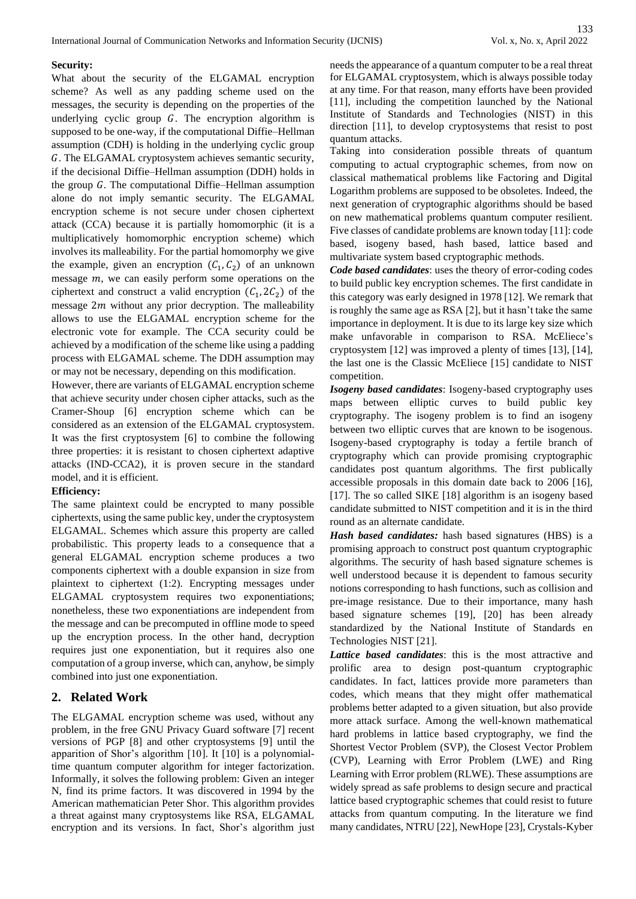#### **Security:**

What about the security of the ELGAMAL encryption scheme? As well as any padding scheme used on the messages, the security is depending on the properties of the underlying cyclic group  $G$ . The encryption algorithm is supposed to be one-way, if the computational Diffie–Hellman assumption (CDH) is holding in the underlying cyclic group . The ELGAMAL cryptosystem achieves semantic security, if the decisional Diffie–Hellman assumption (DDH) holds in the group  $G$ . The computational Diffie–Hellman assumption alone do not imply semantic security. The ELGAMAL encryption scheme is not secure under chosen ciphertext attack (CCA) because it is partially homomorphic (it is a multiplicatively homomorphic encryption scheme) which involves its malleability. For the partial homomorphy we give the example, given an encryption  $(C_1, C_2)$  of an unknown message  $m$ , we can easily perform some operations on the ciphertext and construct a valid encryption  $(C_1, 2C_2)$  of the message  $2m$  without any prior decryption. The malleability allows to use the ELGAMAL encryption scheme for the electronic vote for example. The CCA security could be achieved by a modification of the scheme like using a padding process with ELGAMAL scheme. The DDH assumption may or may not be necessary, depending on this modification.

However, there are variants of ELGAMAL encryption scheme that achieve security under chosen cipher attacks, such as the Cramer-Shoup [6] encryption scheme which can be considered as an extension of the ELGAMAL cryptosystem. It was the first cryptosystem [6] to combine the following three properties: it is resistant to chosen ciphertext adaptive attacks (IND-CCA2), it is proven secure in the standard model, and it is efficient.

#### **Efficiency:**

The same plaintext could be encrypted to many possible ciphertexts, using the same public key, under the cryptosystem ELGAMAL. Schemes which assure this property are called probabilistic. This property leads to a consequence that a general ELGAMAL encryption scheme produces a two components ciphertext with a double expansion in size from plaintext to ciphertext (1:2). Encrypting messages under ELGAMAL cryptosystem requires two exponentiations; nonetheless, these two exponentiations are independent from the message and can be precomputed in offline mode to speed up the encryption process. In the other hand, decryption requires just one exponentiation, but it requires also one computation of a group inverse, which can, anyhow, be simply combined into just one exponentiation.

# **2. Related Work**

The ELGAMAL encryption scheme was used, without any problem, in the free GNU Privacy Guard software [7] recent versions of PGP [8] and other cryptosystems [9] until the apparition of Shor's algorithm [10]. It [10] is a polynomialtime quantum computer algorithm for integer factorization. Informally, it solves the following problem: Given an integer N, find its prime factors. It was discovered in 1994 by the American mathematician Peter Shor. This algorithm provides a threat against many cryptosystems like RSA, ELGAMAL encryption and its versions. In fact, Shor's algorithm just

needs the appearance of a quantum computer to be a real threat for ELGAMAL cryptosystem, which is always possible today at any time. For that reason, many efforts have been provided [11], including the competition launched by the National Institute of Standards and Technologies (NIST) in this direction [11], to develop cryptosystems that resist to post quantum attacks.

Taking into consideration possible threats of quantum computing to actual cryptographic schemes, from now on classical mathematical problems like Factoring and Digital Logarithm problems are supposed to be obsoletes. Indeed, the next generation of cryptographic algorithms should be based on new mathematical problems quantum computer resilient. Five classes of candidate problems are known today [11]: code based, isogeny based, hash based, lattice based and multivariate system based cryptographic methods.

*Code based candidates*: uses the theory of error-coding codes to build public key encryption schemes. The first candidate in this category was early designed in 1978 [12]. We remark that is roughly the same age as RSA [2], but it hasn't take the same importance in deployment. It is due to its large key size which make unfavorable in comparison to RSA. McEliece's cryptosystem [12] was improved a plenty of times [13], [14], the last one is the Classic McEliece [15] candidate to NIST competition.

*Isogeny based candidates*: Isogeny-based cryptography uses maps between elliptic curves to build public key cryptography. The isogeny problem is to find an isogeny between two elliptic curves that are known to be isogenous. Isogeny-based cryptography is today a fertile branch of cryptography which can provide promising cryptographic candidates post quantum algorithms. The first publically accessible proposals in this domain date back to 2006 [16], [17]. The so called SIKE [18] algorithm is an isogeny based candidate submitted to NIST competition and it is in the third round as an alternate candidate.

*Hash based candidates:* hash based signatures (HBS) is a promising approach to construct post quantum cryptographic algorithms. The security of hash based signature schemes is well understood because it is dependent to famous security notions corresponding to hash functions, such as collision and pre-image resistance. Due to their importance, many hash based signature schemes [19], [20] has been already standardized by the National Institute of Standards en Technologies NIST [21].

*Lattice based candidates*: this is the most attractive and prolific area to design post-quantum cryptographic candidates. In fact, lattices provide more parameters than codes, which means that they might offer mathematical problems better adapted to a given situation, but also provide more attack surface. Among the well-known mathematical hard problems in lattice based cryptography, we find the Shortest Vector Problem (SVP), the Closest Vector Problem (CVP), Learning with Error Problem (LWE) and Ring Learning with Error problem (RLWE). These assumptions are widely spread as safe problems to design secure and practical lattice based cryptographic schemes that could resist to future attacks from quantum computing. In the literature we find many candidates, NTRU [22], NewHope [23], Crystals-Kyber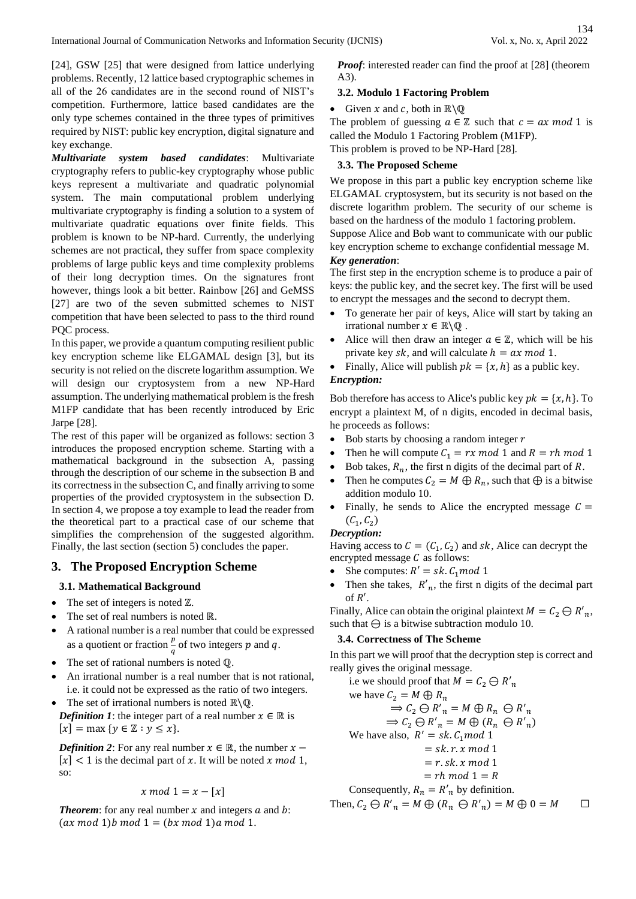[24], GSW [25] that were designed from lattice underlying problems. Recently, 12 lattice based cryptographic schemes in all of the 26 candidates are in the second round of NIST's competition. Furthermore, lattice based candidates are the only type schemes contained in the three types of primitives required by NIST: public key encryption, digital signature and key exchange.

*Multivariate system based candidates*: Multivariate cryptography refers to public-key cryptography whose public keys represent a multivariate and quadratic polynomial system. The main computational problem underlying multivariate cryptography is finding a solution to a system of multivariate quadratic equations over finite fields. This problem is known to be NP-hard. Currently, the underlying schemes are not practical, they suffer from space complexity problems of large public keys and time complexity problems of their long decryption times. On the signatures front however, things look a bit better. Rainbow [26] and GeMSS [27] are two of the seven submitted schemes to NIST competition that have been selected to pass to the third round PQC process.

In this paper, we provide a quantum computing resilient public key encryption scheme like ELGAMAL design [3], but its security is not relied on the discrete logarithm assumption. We will design our cryptosystem from a new NP-Hard assumption. The underlying mathematical problem is the fresh M1FP candidate that has been recently introduced by Eric Jarpe [28].

The rest of this paper will be organized as follows: section 3 introduces the proposed encryption scheme. Starting with a mathematical background in the subsection A, passing through the description of our scheme in the subsection B and its correctness in the subsection C, and finally arriving to some properties of the provided cryptosystem in the subsection D. In section 4, we propose a toy example to lead the reader from the theoretical part to a practical case of our scheme that simplifies the comprehension of the suggested algorithm. Finally, the last section (section 5) concludes the paper.

# **3. The Proposed Encryption Scheme**

## **3.1. Mathematical Background**

- The set of integers is noted  $\mathbb{Z}$ .
- The set of real numbers is noted ℝ.
- A rational number is a real number that could be expressed as a quotient or fraction  $\frac{p}{q}$  of two integers p and q.
- The set of rational numbers is noted  $\mathbb{Q}$ .
- An irrational number is a real number that is not rational, i.e. it could not be expressed as the ratio of two integers.
- The set of irrational numbers is noted ℝ\ℚ.

*Definition 1*: the integer part of a real number  $x \in \mathbb{R}$  is  $[x] = \max \{ y \in \mathbb{Z} : y \leq x \}.$ 

*Definition 2*: For any real number  $x \in \mathbb{R}$ , the number  $x [x]$  < 1 is the decimal part of x. It will be noted x mod 1, so:

$$
x \bmod 1 = x - [x]
$$

**Theorem**: for any real number  $x$  and integers  $a$  and  $b$ :  $(ax \mod 1)b \mod 1 = (bx \mod 1)a \mod 1.$ 

*Proof:* interested reader can find the proof at [28] (theorem A3).

## **3.2. Modulo 1 Factoring Problem**

• Given *x* and *c*, both in  $\mathbb{R}\backslash\mathbb{Q}$ 

The problem of guessing  $a \in \mathbb{Z}$  such that  $c = ax \mod 1$  is called the Modulo 1 Factoring Problem (M1FP).

This problem is proved to be NP-Hard [28].

## **3.3. The Proposed Scheme**

We propose in this part a public key encryption scheme like ELGAMAL cryptosystem, but its security is not based on the discrete logarithm problem. The security of our scheme is based on the hardness of the modulo 1 factoring problem. Suppose Alice and Bob want to communicate with our public key encryption scheme to exchange confidential message M. *Key generation*:

The first step in the encryption scheme is to produce a pair of keys: the public key, and the secret key. The first will be used to encrypt the messages and the second to decrypt them.

- To generate her pair of keys, Alice will start by taking an irrational number  $x \in \mathbb{R} \backslash \mathbb{Q}$ .
- Alice will then draw an integer  $a \in \mathbb{Z}$ , which will be his private key  $sk$ , and will calculate  $h = ax \mod 1$ .
- Finally, Alice will publish  $pk = \{x, h\}$  as a public key.

# *Encryption:*

Bob therefore has access to Alice's public key  $pk = \{x, h\}$ . To encrypt a plaintext M, of n digits, encoded in decimal basis, he proceeds as follows:

- Bob starts by choosing a random integer  $r$
- Then he will compute  $C_1 = rx \mod 1$  and  $R = rh \mod 1$
- Bob takes,  $R_n$ , the first n digits of the decimal part of R.
- Then he computes  $C_2 = M \bigoplus R_n$ , such that  $\bigoplus$  is a bitwise addition modulo 10.
- Finally, he sends to Alice the encrypted message  $C =$  $(C_1, C_2)$

## *Decryption:*

Having access to  $C = (C_1, C_2)$  and sk, Alice can decrypt the encrypted message  $C$  as follows:

- She computes:  $R' = sk$ .  $C_1 \mod 1$
- Then she takes,  $R'_n$ , the first n digits of the decimal part of  $R'$ .

Finally, Alice can obtain the original plaintext  $M = C_2 \oplus R'_n$ , such that  $\Theta$  is a bitwise subtraction modulo 10.

## **3.4. Correctness of The Scheme**

In this part we will proof that the decryption step is correct and really gives the original message.

i.e we should proof that 
$$
M = C_2 \ominus R'_n
$$
  
\nwe have  $C_2 = M \oplus R_n$   
\n $\Rightarrow C_2 \ominus R'_n = M \oplus R_n \ominus R'_n$   
\n $\Rightarrow C_2 \ominus R'_n = M \oplus (R_n \ominus R'_n)$   
\nWe have also,  $R' = sk.C_1 \mod 1$   
\n $= sk.r.x \mod 1$   
\n $= r.sk.x \mod 1$   
\n $= rh \mod 1 = R$   
\nConsequently,  $R_n = R'_n$  by definition.  
\nThen,  $C_2 \ominus R'_n = M \oplus (R_n \ominus R'_n) = M \oplus 0 = M$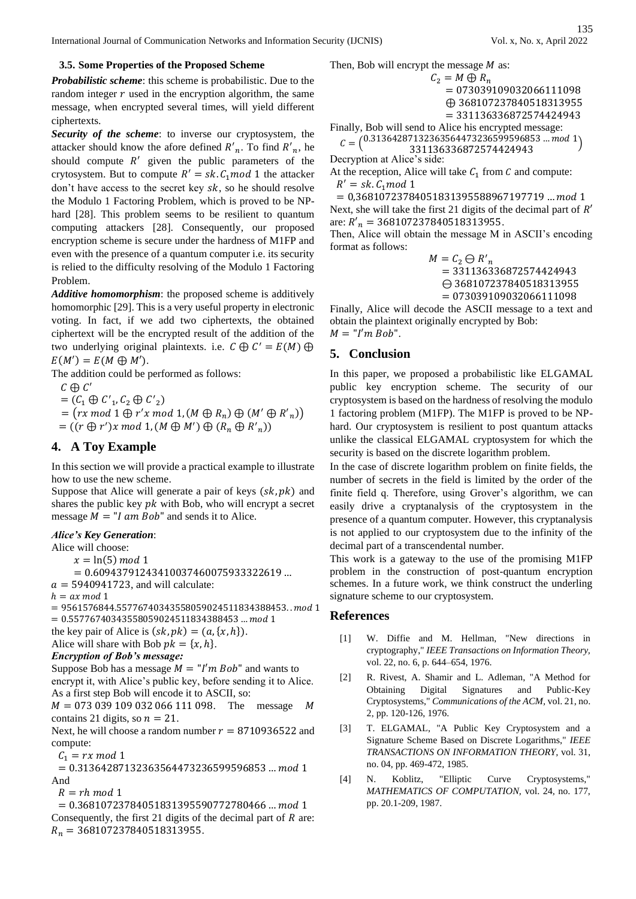International Journal of Communication Networks and Information Security (IJCNIS) Vol. x, No. x, April 2022

#### **3.5. Some Properties of the Proposed Scheme**

*Probabilistic scheme*: this scheme is probabilistic. Due to the random integer  $r$  used in the encryption algorithm, the same message, when encrypted several times, will yield different ciphertexts.

*Security of the scheme*: to inverse our cryptosystem, the attacker should know the afore defined  $R'_n$ . To find  $R'_n$ , he should compute  $R'$  given the public parameters of the crytosystem. But to compute  $R' = sk$ .  $C_1 \mod 1$  the attacker don't have access to the secret key  $sk$ , so he should resolve the Modulo 1 Factoring Problem, which is proved to be NPhard [28]. This problem seems to be resilient to quantum computing attackers [28]. Consequently, our proposed encryption scheme is secure under the hardness of M1FP and even with the presence of a quantum computer i.e. its security is relied to the difficulty resolving of the Modulo 1 Factoring Problem.

*Additive homomorphism*: the proposed scheme is additively homomorphic [29]. This is a very useful property in electronic voting. In fact, if we add two ciphertexts, the obtained ciphertext will be the encrypted result of the addition of the two underlying original plaintexts. i.e.  $C \oplus C' = E(M) \oplus$  $E(M') = E(M \oplus M')$ .

The addition could be performed as follows:

 $C \oplus C'$ 

 $=(\mathcal{C}_1 \oplus \mathcal{C'}_1, \mathcal{C}_2 \oplus \mathcal{C'}_2)$ 

 $= (rx \mod 1 \oplus r'x \mod 1, (M \oplus R_n) \oplus (M' \oplus R'_{n}))$ 

 $= ((r \oplus r')x \mod 1, (M \oplus M') \oplus (R_n \oplus R'_n))$ 

# **4. A Toy Example**

In this section we will provide a practical example to illustrate how to use the new scheme.

Suppose that Alice will generate a pair of keys  $(sk, pk)$  and shares the public key  $pk$  with Bob, who will encrypt a secret message  $M = "I \text{ am } Bob"$  and sends it to Alice.

# *Alice's Key Generation*:

Alice will choose:

 $x = \ln(5) \mod 1$ 

 $= 0.60943791243410037460075933322619...$ 

 $a = 5940941723$ , and will calculate:

 $h = ax \mod 1$ 

 $= 9561576844.55776740343558059024511834388453...$  mod 1  $= 0.55776740343558059024511834388453 \dots \text{mod } 1$ the key pair of Alice is  $(sk, pk) = (a, \{x, h\}).$ 

Alice will share with Bob  $pk = \{x, h\}.$ 

#### *Encryption of Bob's message:*

Suppose Bob has a message  $M = "I'm Bob"$  and wants to encrypt it, with Alice's public key, before sending it to Alice. As a first step Bob will encode it to ASCII, so:

 $M = 073 039 109 032 066 111 098$ . The message M contains 21 digits, so  $n = 21$ .

Next, he will choose a random number  $r = 8710936522$  and compute:

 $C_1 = rx \mod 1$ 

 $= 0.31364287132363564473236599596853$  ... mod 1 And

 $R = rh \mod 1$ 

 $= 0.36810723784051831395590772780466$  ... mod 1 Consequently, the first 21 digits of the decimal part of  $R$  are:  $R_n = 368107237840518313955.$ 

Then, Bob will encrypt the message 
$$
M
$$
 as:

$$
C_2 = M \oplus R_n
$$
  
= 073039109032066111098  

$$
\oplus 368107237840518313955
$$
  
= 331136336872574424943

Finally, Bob will send to Alice his encrypted message:  $C = \begin{pmatrix} 0.31364287132363564473236599596853 & ... \bmod 1 \\ 2311363326972574424942 \end{pmatrix}$ <sup>331136336872574424943</sup> )

Decryption at Alice's side:

At the reception, Alice will take  $C_1$  from C and compute:  $R' = sk$ .  $C_1$ mod 1

 $= 0,36810723784051831395588967197719$  ... mod 1 Next, she will take the first 21 digits of the decimal part of  $R'$ are:  $R'_n = 368107237840518313955$ .

Then, Alice will obtain the message M in ASCII's encoding format as follows:

> $M = C_2 \ominus R'_n$ = 331136336872574424943 ⊖ 368107237840518313955 = 073039109032066111098

Finally, Alice will decode the ASCII message to a text and obtain the plaintext originally encrypted by Bob:  $M = "I'm Bob".$ 

# **5. Conclusion**

In this paper, we proposed a probabilistic like ELGAMAL public key encryption scheme. The security of our cryptosystem is based on the hardness of resolving the modulo 1 factoring problem (M1FP). The M1FP is proved to be NPhard. Our cryptosystem is resilient to post quantum attacks unlike the classical ELGAMAL cryptosystem for which the security is based on the discrete logarithm problem.

In the case of discrete logarithm problem on finite fields, the number of secrets in the field is limited by the order of the finite field q. Therefore, using Grover's algorithm, we can easily drive a cryptanalysis of the cryptosystem in the presence of a quantum computer. However, this cryptanalysis is not applied to our cryptosystem due to the infinity of the decimal part of a transcendental number.

This work is a gateway to the use of the promising M1FP problem in the construction of post-quantum encryption schemes. In a future work, we think construct the underling signature scheme to our cryptosystem.

## **References**

- [1] W. Diffie and M. Hellman, "New directions in cryptography," *IEEE Transactions on Information Theory,*  vol. 22, no. 6, p. 644–654, 1976.
- [2] R. Rivest, A. Shamir and L. Adleman, "A Method for Obtaining Digital Signatures and Public-Key Cryptosystems," *Communications of the ACM,* vol. 21, no. 2, pp. 120-126, 1976.
- [3] T. ELGAMAL, "A Public Key Cryptosystem and a Signature Scheme Based on Discrete Logarithms," *IEEE TRANSACTIONS ON INFORMATION THEORY,* vol. 31, no. 04, pp. 469-472, 1985.
- [4] N. Koblitz, "Elliptic Curve Cryptosystems," *MATHEMATICS OF COMPUTATION,* vol. 24, no. 177, pp. 20.1-209, 1987.